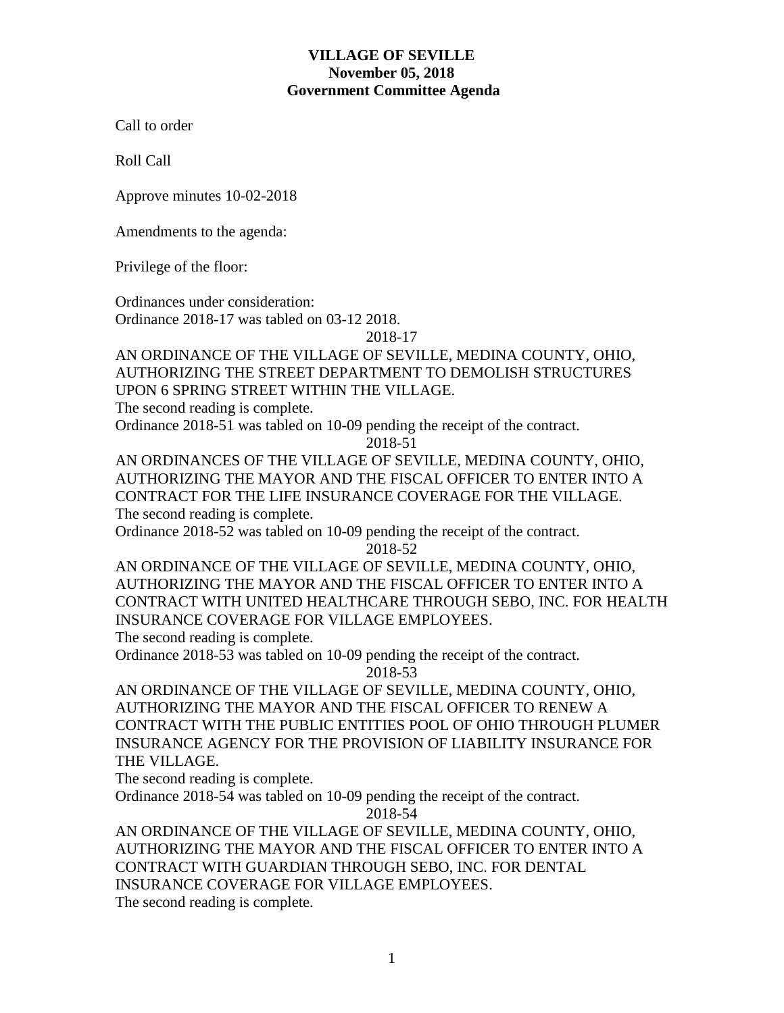Call to order

Roll Call

Approve minutes 10-02-2018

Amendments to the agenda:

Privilege of the floor:

Ordinances under consideration: Ordinance 2018-17 was tabled on 03-12 2018.

2018-17

# AN ORDINANCE OF THE VILLAGE OF SEVILLE, MEDINA COUNTY, OHIO, AUTHORIZING THE STREET DEPARTMENT TO DEMOLISH STRUCTURES UPON 6 SPRING STREET WITHIN THE VILLAGE.

The second reading is complete.

Ordinance 2018-51 was tabled on 10-09 pending the receipt of the contract.

2018-51

AN ORDINANCES OF THE VILLAGE OF SEVILLE, MEDINA COUNTY, OHIO, AUTHORIZING THE MAYOR AND THE FISCAL OFFICER TO ENTER INTO A CONTRACT FOR THE LIFE INSURANCE COVERAGE FOR THE VILLAGE. The second reading is complete.

Ordinance 2018-52 was tabled on 10-09 pending the receipt of the contract.

2018-52

AN ORDINANCE OF THE VILLAGE OF SEVILLE, MEDINA COUNTY, OHIO, AUTHORIZING THE MAYOR AND THE FISCAL OFFICER TO ENTER INTO A CONTRACT WITH UNITED HEALTHCARE THROUGH SEBO, INC. FOR HEALTH INSURANCE COVERAGE FOR VILLAGE EMPLOYEES.

The second reading is complete.

Ordinance 2018-53 was tabled on 10-09 pending the receipt of the contract.

2018-53

AN ORDINANCE OF THE VILLAGE OF SEVILLE, MEDINA COUNTY, OHIO, AUTHORIZING THE MAYOR AND THE FISCAL OFFICER TO RENEW A CONTRACT WITH THE PUBLIC ENTITIES POOL OF OHIO THROUGH PLUMER INSURANCE AGENCY FOR THE PROVISION OF LIABILITY INSURANCE FOR THE VILLAGE.

The second reading is complete.

Ordinance 2018-54 was tabled on 10-09 pending the receipt of the contract.

2018-54

AN ORDINANCE OF THE VILLAGE OF SEVILLE, MEDINA COUNTY, OHIO, AUTHORIZING THE MAYOR AND THE FISCAL OFFICER TO ENTER INTO A CONTRACT WITH GUARDIAN THROUGH SEBO, INC. FOR DENTAL INSURANCE COVERAGE FOR VILLAGE EMPLOYEES. The second reading is complete.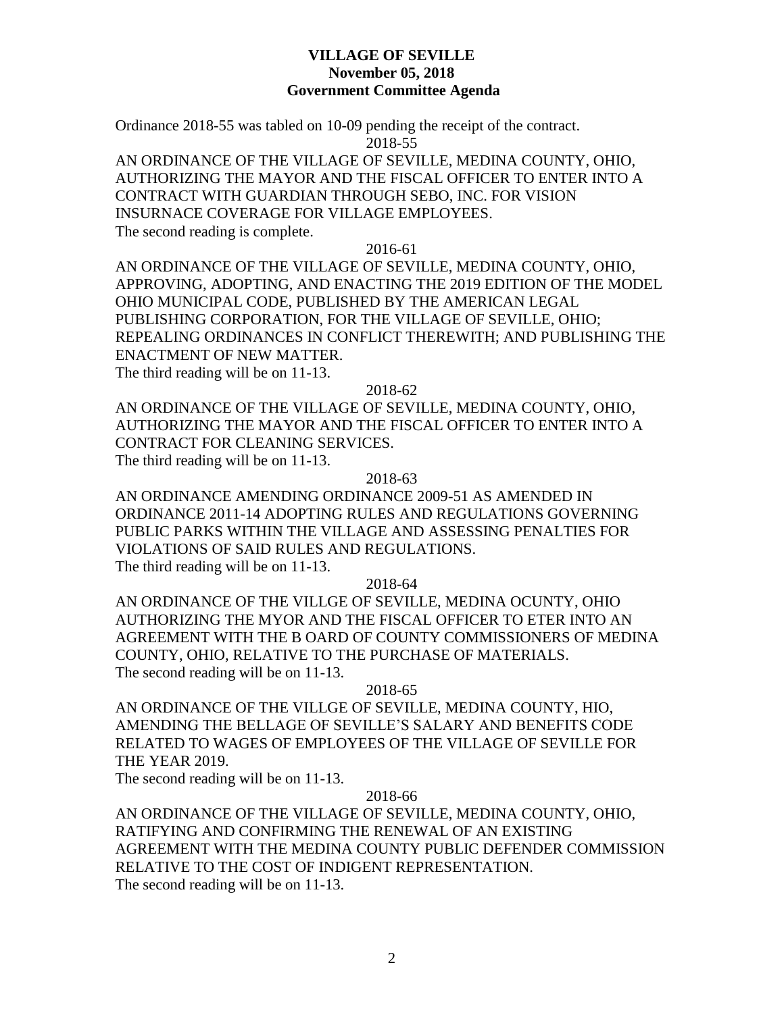Ordinance 2018-55 was tabled on 10-09 pending the receipt of the contract.

2018-55

AN ORDINANCE OF THE VILLAGE OF SEVILLE, MEDINA COUNTY, OHIO, AUTHORIZING THE MAYOR AND THE FISCAL OFFICER TO ENTER INTO A CONTRACT WITH GUARDIAN THROUGH SEBO, INC. FOR VISION INSURNACE COVERAGE FOR VILLAGE EMPLOYEES. The second reading is complete.

2016-61

AN ORDINANCE OF THE VILLAGE OF SEVILLE, MEDINA COUNTY, OHIO, APPROVING, ADOPTING, AND ENACTING THE 2019 EDITION OF THE MODEL OHIO MUNICIPAL CODE, PUBLISHED BY THE AMERICAN LEGAL PUBLISHING CORPORATION, FOR THE VILLAGE OF SEVILLE, OHIO; REPEALING ORDINANCES IN CONFLICT THEREWITH; AND PUBLISHING THE ENACTMENT OF NEW MATTER.

The third reading will be on 11-13.

2018-62

AN ORDINANCE OF THE VILLAGE OF SEVILLE, MEDINA COUNTY, OHIO, AUTHORIZING THE MAYOR AND THE FISCAL OFFICER TO ENTER INTO A CONTRACT FOR CLEANING SERVICES. The third reading will be on 11-13.

2018-63

AN ORDINANCE AMENDING ORDINANCE 2009-51 AS AMENDED IN ORDINANCE 2011-14 ADOPTING RULES AND REGULATIONS GOVERNING PUBLIC PARKS WITHIN THE VILLAGE AND ASSESSING PENALTIES FOR VIOLATIONS OF SAID RULES AND REGULATIONS. The third reading will be on 11-13.

2018-64

AN ORDINANCE OF THE VILLGE OF SEVILLE, MEDINA OCUNTY, OHIO AUTHORIZING THE MYOR AND THE FISCAL OFFICER TO ETER INTO AN AGREEMENT WITH THE B OARD OF COUNTY COMMISSIONERS OF MEDINA COUNTY, OHIO, RELATIVE TO THE PURCHASE OF MATERIALS. The second reading will be on 11-13.

2018-65

AN ORDINANCE OF THE VILLGE OF SEVILLE, MEDINA COUNTY, HIO, AMENDING THE BELLAGE OF SEVILLE'S SALARY AND BENEFITS CODE RELATED TO WAGES OF EMPLOYEES OF THE VILLAGE OF SEVILLE FOR THE YEAR 2019.

The second reading will be on 11-13.

### 2018-66

AN ORDINANCE OF THE VILLAGE OF SEVILLE, MEDINA COUNTY, OHIO, RATIFYING AND CONFIRMING THE RENEWAL OF AN EXISTING AGREEMENT WITH THE MEDINA COUNTY PUBLIC DEFENDER COMMISSION RELATIVE TO THE COST OF INDIGENT REPRESENTATION. The second reading will be on 11-13.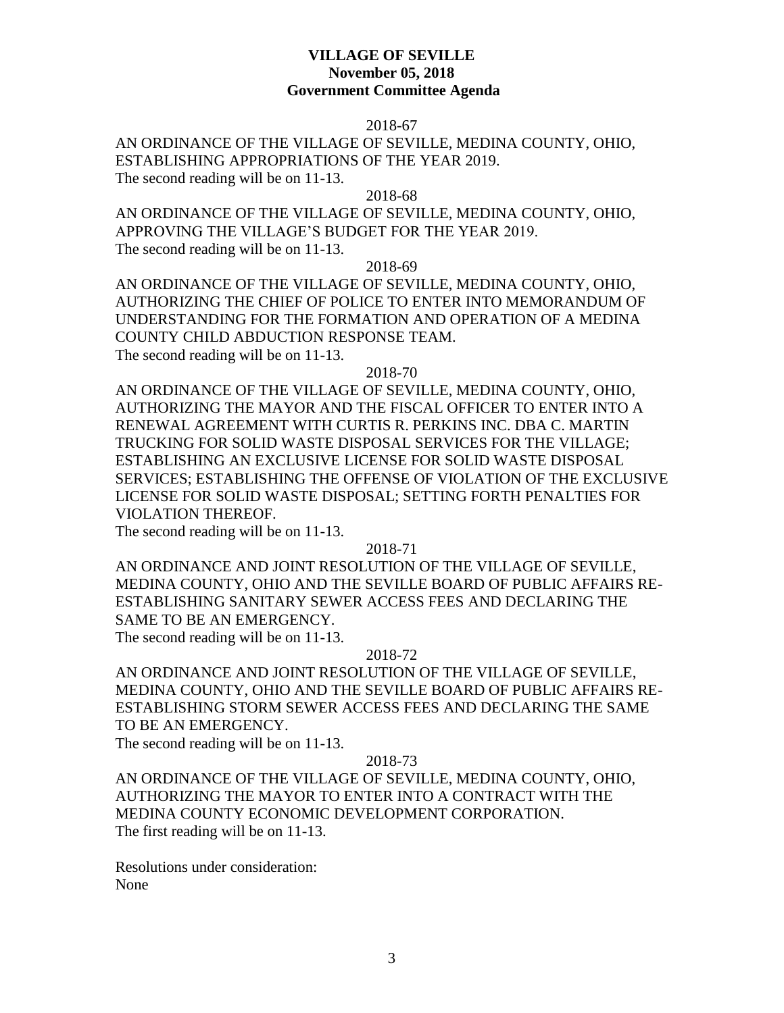#### 2018-67

AN ORDINANCE OF THE VILLAGE OF SEVILLE, MEDINA COUNTY, OHIO, ESTABLISHING APPROPRIATIONS OF THE YEAR 2019. The second reading will be on 11-13.

2018-68

AN ORDINANCE OF THE VILLAGE OF SEVILLE, MEDINA COUNTY, OHIO, APPROVING THE VILLAGE'S BUDGET FOR THE YEAR 2019. The second reading will be on 11-13.

2018-69

AN ORDINANCE OF THE VILLAGE OF SEVILLE, MEDINA COUNTY, OHIO, AUTHORIZING THE CHIEF OF POLICE TO ENTER INTO MEMORANDUM OF UNDERSTANDING FOR THE FORMATION AND OPERATION OF A MEDINA COUNTY CHILD ABDUCTION RESPONSE TEAM.

The second reading will be on 11-13.

2018-70

AN ORDINANCE OF THE VILLAGE OF SEVILLE, MEDINA COUNTY, OHIO, AUTHORIZING THE MAYOR AND THE FISCAL OFFICER TO ENTER INTO A RENEWAL AGREEMENT WITH CURTIS R. PERKINS INC. DBA C. MARTIN TRUCKING FOR SOLID WASTE DISPOSAL SERVICES FOR THE VILLAGE; ESTABLISHING AN EXCLUSIVE LICENSE FOR SOLID WASTE DISPOSAL SERVICES; ESTABLISHING THE OFFENSE OF VIOLATION OF THE EXCLUSIVE LICENSE FOR SOLID WASTE DISPOSAL; SETTING FORTH PENALTIES FOR VIOLATION THEREOF.

The second reading will be on 11-13.

2018-71

AN ORDINANCE AND JOINT RESOLUTION OF THE VILLAGE OF SEVILLE, MEDINA COUNTY, OHIO AND THE SEVILLE BOARD OF PUBLIC AFFAIRS RE-ESTABLISHING SANITARY SEWER ACCESS FEES AND DECLARING THE SAME TO BE AN EMERGENCY.

The second reading will be on 11-13.

#### 2018-72

AN ORDINANCE AND JOINT RESOLUTION OF THE VILLAGE OF SEVILLE, MEDINA COUNTY, OHIO AND THE SEVILLE BOARD OF PUBLIC AFFAIRS RE-ESTABLISHING STORM SEWER ACCESS FEES AND DECLARING THE SAME TO BE AN EMERGENCY.

The second reading will be on 11-13.

### 2018-73

AN ORDINANCE OF THE VILLAGE OF SEVILLE, MEDINA COUNTY, OHIO, AUTHORIZING THE MAYOR TO ENTER INTO A CONTRACT WITH THE MEDINA COUNTY ECONOMIC DEVELOPMENT CORPORATION. The first reading will be on 11-13.

Resolutions under consideration: None